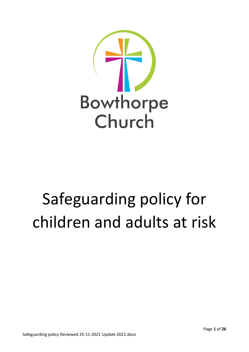

# Safeguarding policy for children and adults at risk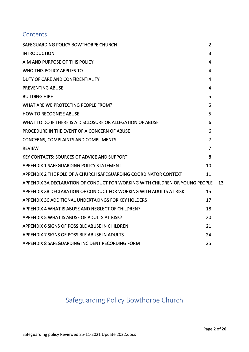# **Contents**

| SAFEGUARDING POLICY BOWTHORPE CHURCH                                         | $\overline{2}$ |    |
|------------------------------------------------------------------------------|----------------|----|
| <b>INTRODUCTION</b>                                                          | 3              |    |
| AIM AND PURPOSE OF THIS POLICY                                               | 4              |    |
| WHO THIS POLICY APPLIES TO                                                   | 4              |    |
| DUTY OF CARE AND CONFIDENTIALITY                                             | 4              |    |
| <b>PREVENTING ABUSE</b>                                                      | 4              |    |
| <b>BUILDING HIRE</b>                                                         | 5              |    |
| WHAT ARE WE PROTECTING PEOPLE FROM?                                          | 5              |    |
| <b>HOW TO RECOGNISE ABUSE</b>                                                | 5              |    |
| WHAT TO DO IF THERE IS A DISCLOSURE OR ALLEGATION OF ABUSE                   | 6              |    |
| PROCEDURE IN THE EVENT OF A CONCERN OF ABUSE                                 | 6              |    |
| <b>CONCERNS, COMPLAINTS AND COMPLIMENTS</b>                                  | $\overline{7}$ |    |
| <b>REVIEW</b>                                                                | $\overline{7}$ |    |
| <b>KEY CONTACTS: SOURCES OF ADVICE AND SUPPORT</b>                           | 8              |    |
| APPENDIX 1 SAFEGUARDING POLICY STATEMENT                                     | 10             |    |
| APPENDIX 2 THE ROLE OF A CHURCH SAFEGUARDING COORDINATOR CONTEXT             | 11             |    |
| APPENDIX 3A DECLARATION OF CONDUCT FOR WORKING WITH CHILDREN OR YOUNG PEOPLE |                | 13 |
| APPENDIX 3B DECLARATION OF CONDUCT FOR WORKING WITH ADULTS AT RISK           | 15             |    |
| APPENDIX 3C ADDITIONAL UNDERTAKINGS FOR KEY HOLDERS                          | 17             |    |
| APPENDIX 4 WHAT IS ABUSE AND NEGLECT OF CHILDREN?                            | 18             |    |
| APPENDIX 5 WHAT IS ABUSE OF ADULTS AT RISK?                                  | 20             |    |
| APPENDIX 6 SIGNS OF POSSIBLE ABUSE IN CHILDREN                               | 21             |    |
| APPENDIX 7 SIGNS OF POSSIBLE ABUSE IN ADULTS                                 | 24             |    |
| APPENDIX 8 SAFEGUARDING INCIDENT RECORDING FORM                              | 25             |    |

# <span id="page-1-0"></span>Safeguarding Policy Bowthorpe Church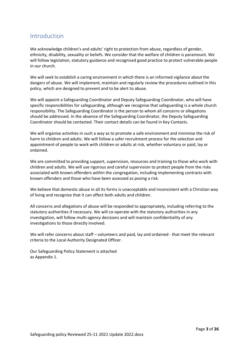# <span id="page-2-0"></span>Introduction

We acknowledge children's and adults' right to protection from abuse, regardless of gender, ethnicity, disability, sexuality or beliefs. We consider that the welfare of children is paramount. We will follow legislation, statutory guidance and recognised good practice to protect vulnerable people in our church.

We will seek to establish a caring environment in which there is an informed vigilance about the dangers of abuse. We will implement, maintain and regularly review the procedures outlined in this policy, which are designed to prevent and to be alert to abuse.

We will appoint a Safeguarding Coordinator and Deputy Safeguarding Coordinator, who will have specific responsibilities for safeguarding, although we recognise that safeguarding is a whole church responsibility. The Safeguarding Coordinator is the person to whom all concerns or allegations should be addressed. In the absence of the Safeguarding Coordinator, the Deputy Safeguarding Coordinator should be contacted. Their contact details can be found in Key Contacts.

We will organise activities in such a way as to promote a safe environment and minimise the risk of harm to children and adults. We will follow a safer recruitment process for the selection and appointment of people to work with children or adults at risk, whether voluntary or paid, lay or ordained.

We are committed to providing support, supervision, resources and training to those who work with children and adults. We will use rigorous and careful supervision to protect people from the risks associated with known offenders within the congregation, including implementing contracts with known offenders and those who have been assessed as posing a risk.

We believe that domestic abuse in all its forms is unacceptable and inconsistent with a Christian way of living and recognise that it can affect both adults and children.

All concerns and allegations of abuse will be responded to appropriately, including referring to the statutory authorities if necessary. We will co-operate with the statutory authorities in any investigation, will follow multi-agency decisions and will maintain confidentiality of any investigations to those directly involved.

We will refer concerns about staff – volunteers and paid, lay and ordained - that meet the relevant criteria to the Local Authority Designated Officer.

Our Safeguarding Policy Statement is attached as Appendix 1.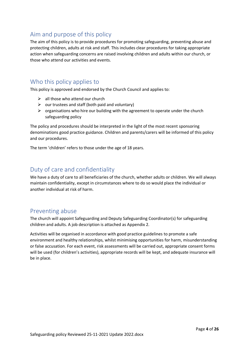# <span id="page-3-0"></span>Aim and purpose of this policy

The aim of this policy is to provide procedures for promoting safeguarding, preventing abuse and protecting children, adults at risk and staff. This includes clear procedures for taking appropriate action when safeguarding concerns are raised involving children and adults within our church, or those who attend our activities and events.

# <span id="page-3-1"></span>Who this policy applies to

This policy is approved and endorsed by the Church Council and applies to:

- $\triangleright$  all those who attend our church
- $\triangleright$  our trustees and staff (both paid and voluntary)
- $\triangleright$  organisations who hire our building with the agreement to operate under the church safeguarding policy

The policy and procedures should be interpreted in the light of the most recent sponsoring denominations good practice guidance. Children and parents/carers will be informed of this policy and our procedures.

The term 'children' refers to those under the age of 18 years.

# <span id="page-3-2"></span>Duty of care and confidentiality

We have a duty of care to all beneficiaries of the church, whether adults or children. We will always maintain confidentiality, except in circumstances where to do so would place the individual or another individual at risk of harm.

# <span id="page-3-3"></span>Preventing abuse

The church will appoint Safeguarding and Deputy Safeguarding Coordinator(s) for safeguarding children and adults. A job description is attached as Appendix 2.

Activities will be organised in accordance with good practice guidelines to promote a safe environment and healthy relationships, whilst minimising opportunities for harm, misunderstanding or false accusation. For each event, risk assessments will be carried out, appropriate consent forms will be used (for children's activities), appropriate records will be kept, and adequate insurance will be in place.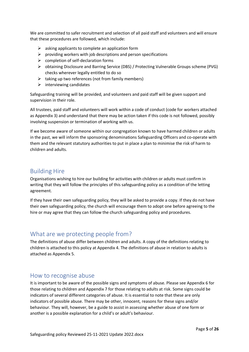We are committed to safer recruitment and selection of all paid staff and volunteers and will ensure that these procedures are followed, which include:

- $\triangleright$  asking applicants to complete an application form
- $\triangleright$  providing workers with job descriptions and person specifications
- ➢ completion of self-declaration forms
- ➢ obtaining Disclosure and Barring Service (DBS) / Protecting Vulnerable Groups scheme (PVG) checks wherever legally entitled to do so
- $\triangleright$  taking up two references (not from family members)
- $\triangleright$  interviewing candidates

Safeguarding training will be provided, and volunteers and paid staff will be given support and supervision in their role.

All trustees, paid staff and volunteers will work within a code of conduct (code for workers attached as Appendix 3) and understand that there may be action taken if this code is not followed, possibly involving suspension or termination of working with us.

If we become aware of someone within our congregation known to have harmed children or adults in the past, we will inform the sponsoring denominations Safeguarding Officers and co-operate with them and the relevant statutory authorities to put in place a plan to minimise the risk of harm to children and adults.

### <span id="page-4-0"></span>Building Hire

Organisations wishing to hire our building for activities with children or adults must confirm in writing that they will follow the principles of this safeguarding policy as a condition of the letting agreement.

If they have their own safeguarding policy, they will be asked to provide a copy. If they do not have their own safeguarding policy, the church will encourage them to adopt one before agreeing to the hire or may agree that they can follow the church safeguarding policy and procedures.

### <span id="page-4-1"></span>What are we protecting people from?

The definitions of abuse differ between children and adults. A copy of the definitions relating to children is attached to this policy at Appendix 4. The definitions of abuse in relation to adults is attached as Appendix 5.

### <span id="page-4-2"></span>How to recognise abuse

It is important to be aware of the possible signs and symptoms of abuse. Please see Appendix 6 for those relating to children and Appendix 7 for those relating to adults at risk. Some signs could be indicators of several different categories of abuse. It is essential to note that these are only indicators of possible abuse. There may be other, innocent, reasons for these signs and/or behaviour. They will, however, be a guide to assist in assessing whether abuse of one form or another is a possible explanation for a child's or adult's behaviour.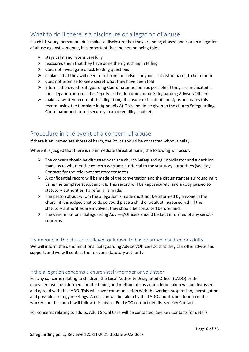# <span id="page-5-0"></span>What to do if there is a disclosure or allegation of abuse

If a child, young person or adult makes a disclosure that they are being abused and / or an allegation of abuse against someone, it is important that the person being told:

- $\triangleright$  stays calm and listens carefully
- $\triangleright$  reassures them that they have done the right thing in telling
- $\triangleright$  does not investigate or ask leading questions
- $\triangleright$  explains that they will need to tell someone else if anyone is at risk of harm, to help them
- $\triangleright$  does not promise to keep secret what they have been told
- $\triangleright$  informs the church Safeguarding Coordinator as soon as possible (if they are implicated in the allegation, informs the Deputy or the denominational Safeguarding Adviser/Officer)
- $\triangleright$  makes a written record of the allegation, disclosure or incident and signs and dates this record (using the template in Appendix 8). This should be given to the church Safeguarding Coordinator and stored securely in a locked filing cabinet.

### <span id="page-5-1"></span>Procedure in the event of a concern of abuse

If there is an immediate threat of harm, the Police should be contacted without delay.

Where it is judged that there is no immediate threat of harm, the following will occur:

- $\triangleright$  The concern should be discussed with the church Safeguarding Coordinator and a decision made as to whether the concern warrants a referral to the statutory authorities (see Key Contacts for the relevant statutory contacts)
- $\triangleright$  A confidential record will be made of the conversation and the circumstances surrounding it using the template at Appendix 8. This record will be kept securely, and a copy passed to statutory authorities if a referral is made.
- $\triangleright$  The person about whom the allegation is made must not be informed by anyone in the church if it is judged that to do so could place a child or adult at increased risk. If the statutory authorities are involved, they should be consulted beforehand.
- ➢ The denominational Safeguarding Adviser/Officers should be kept informed of any serious concerns.

### If someone in the church is alleged or known to have harmed children or adults

We will inform the denominational Safeguarding Adviser/Officers so that they can offer advice and support, and we will contact the relevant statutory authority.

### If the allegation concerns a church staff member or volunteer

For any concerns relating to children, the Local Authority Designated Officer (LADO) or the equivalent will be informed and the timing and method of any action to be taken will be discussed and agreed with the LADO. This will cover communication with the worker, suspension, investigation and possible strategy meetings. A decision will be taken by the LADO about when to inform the worker and the church will follow this advice. For LADO contact details, see Key Contacts.

For concerns relating to adults, Adult Social Care will be contacted. See Key Contacts for details.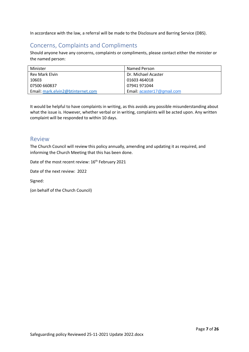In accordance with the law, a referral will be made to the Disclosure and Barring Service (DBS).

# <span id="page-6-0"></span>Concerns, Complaints and Compliments

Should anyone have any concerns, complaints or compliments, please contact either the minister or the named person:

| Minister                          | Named Person               |
|-----------------------------------|----------------------------|
| Rev Mark Elvin                    | Dr. Michael Acaster        |
| 10603                             | 01603 464018               |
| 07500 660837                      | 07941 971044               |
| Email: mark.elvin2@btinternet.com | Email: acaster17@gmail.com |

It would be helpful to have complaints in writing, as this avoids any possible misunderstanding about what the issue is. However, whether verbal or in writing, complaints will be acted upon. Any written complaint will be responded to within 10 days.

### <span id="page-6-1"></span>Review

The Church Council will review this policy annually, amending and updating it as required, and informing the Church Meeting that this has been done.

Date of the most recent review: 16<sup>th</sup> February 2021

Date of the next review: 2022

Signed:

(on behalf of the Church Council)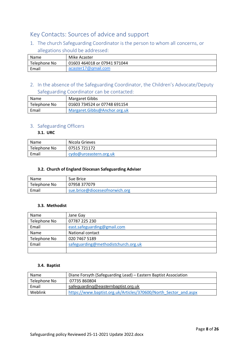# <span id="page-7-0"></span>Key Contacts: Sources of advice and support

### 1. The church Safeguarding Coordinator is the person to whom all concerns, or allegations should be addressed:

| Name         | Mike Acaster                 |
|--------------|------------------------------|
| Telephone No | 01603 464018 or 07941 971044 |
| Email        | acaster17@gmail.com          |

### 2. In the absence of the Safeguarding Coordinator, the Children's Advocate/Deputy Safeguarding Coordinator can be contacted:

| Name         | <b>Margaret Gibbs</b>        |
|--------------|------------------------------|
| Telephone No | 01603 734524 or 07748 691154 |
| Email        | Margaret.Gibbs@Anchor.org.uk |

### 3. Safeguarding Officers

### **3.1. URC**

| Name         | Nicola Grieves         |
|--------------|------------------------|
| Telephone No | 07515 721172           |
| Email        | cydo@urceastern.org.uk |

### **3.2. Church of England Diocesan Safeguarding Adviser**

| Name         | Sue Brice                      |
|--------------|--------------------------------|
| Telephone No | 07958 377079                   |
| Email        | sue.brice@dioceseofnorwich.org |

#### **3.3. Methodist**

| Name         | Jane Gay                            |
|--------------|-------------------------------------|
| Telephone No | 07787 225 230                       |
| Email        | east.safeguarding@gmail.com         |
| Name         | National contact                    |
| Telephone No | 020 7467 5189                       |
| Email        | safeguarding@methodistchurch.org.uk |
|              |                                     |

#### **3.4. Baptist**

| Name         | Diane Forsyth (Safeguarding Lead) – Eastern Baptist Association  |  |  |
|--------------|------------------------------------------------------------------|--|--|
| Telephone No | 07735 860804                                                     |  |  |
| Email        | safeguarding@easternbaptist.org.uk                               |  |  |
| Weblink      | https://www.baptist.org.uk/Articles/370600/North Sector and.aspx |  |  |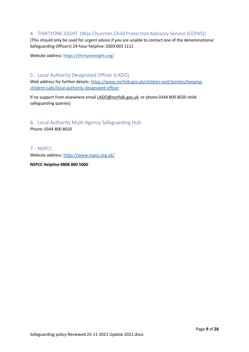### 4. THIRTYONE:EIGHT (Was Churches Child Protection Advisory Service (CCPAS))

(This should only be used for urgent advice if you are unable to contact one of the denominational Safeguarding Officers) 24-hour helpline: 0303 003 1111

Website address[: https://thirtyoneeight.org/](https://thirtyoneeight.org/)

### 5. Local Authority Designated Officer (LADO)

Web address for further details: [https://www.norfolk.gov.uk/children-and-families/keeping](https://www.norfolk.gov.uk/children-and-families/keeping-children-safe/local-authority-designated-officer)[children-safe/local-authority-designated-officer](https://www.norfolk.gov.uk/children-and-families/keeping-children-safe/local-authority-designated-officer)

If no support from elsewhere email [LADO@norfolk.gov.uk](mailto:LADO@norfolk.gov.uk) or phone 0344 800 8020 child safeguarding queries)

### 6. Local Authority Multi-Agency Safeguarding Hub

Phone: 0344 800 8020

### 7. NSPCC

Website address[: https://www.nspcc.org.uk/](https://www.nspcc.org.uk/)

**NSPCC Helpline 0808 800 5000**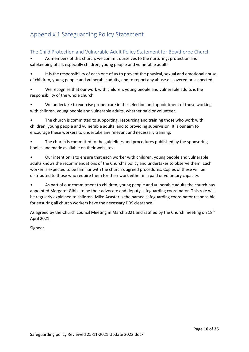# <span id="page-9-0"></span>Appendix 1 Safeguarding Policy Statement

### The Child Protection and Vulnerable Adult Policy Statement for Bowthorpe Church

• As members of this church, we commit ourselves to the nurturing, protection and safekeeping of all, especially children, young people and vulnerable adults

It is the responsibility of each one of us to prevent the physical, sexual and emotional abuse of children, young people and vulnerable adults, and to report any abuse discovered or suspected.

- We recognise that our work with children, young people and vulnerable adults is the responsibility of the whole church.
- We undertake to exercise proper care in the selection and appointment of those working with children, young people and vulnerable adults, whether paid or volunteer.

The church is committed to supporting, resourcing and training those who work with children, young people and vulnerable adults, and to providing supervision. It is our aim to encourage these workers to undertake any relevant and necessary training.

• The church is committed to the guidelines and procedures published by the sponsoring bodies and made available on their websites.

• Our intention is to ensure that each worker with children, young people and vulnerable adults knows the recommendations of the Church's policy and undertakes to observe them. Each worker is expected to be familiar with the church's agreed procedures. Copies of these will be distributed to those who require them for their work either in a paid or voluntary capacity.

As part of our commitment to children, young people and vulnerable adults the church has appointed Margaret Gibbs to be their advocate and deputy safeguarding coordinator. This role will be regularly explained to children. Mike Acaster is the named safeguarding coordinator responsible for ensuring all church workers have the necessary DBS clearance.

As agreed by the Church council Meeting in March 2021 and ratified by the Church meeting on 18<sup>th</sup> April 2021

Signed: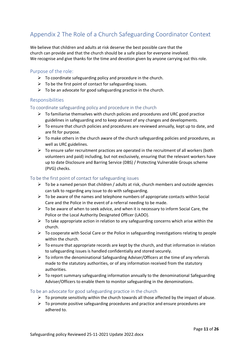# <span id="page-10-0"></span>Appendix 2 The Role of a Church Safeguarding Coordinator Context

We believe that children and adults at risk deserve the best possible care that the church can provide and that the church should be a safe place for everyone involved. We recognise and give thanks for the time and devotion given by anyone carrying out this role.

### Purpose of the role:

- $\triangleright$  To coordinate safeguarding policy and procedure in the church.
- $\triangleright$  To be the first point of contact for safeguarding issues.
- $\triangleright$  To be an advocate for good safeguarding practice in the church.

### Responsibilities

### To coordinate safeguarding policy and procedure in the church

- $\triangleright$  To familiarise themselves with church policies and procedures and URC good practice guidelines in safeguarding and to keep abreast of any changes and developments.
- $\triangleright$  To ensure that church policies and procedures are reviewed annually, kept up to date, and are fit for purpose.
- $\triangleright$  To make others in the church aware of the church safeguarding policies and procedures, as well as URC guidelines.
- $\triangleright$  To ensure safer recruitment practices are operated in the recruitment of all workers (both volunteers and paid) including, but not exclusively, ensuring that the relevant workers have up to date Disclosure and Barring Service (DBS) / Protecting Vulnerable Groups scheme (PVG) checks.

### To be the first point of contact for safeguarding issues

- $\triangleright$  To be a named person that children / adults at risk, church members and outside agencies can talk to regarding any issue to do with safeguarding.
- $\triangleright$  To be aware of the names and telephone numbers of appropriate contacts within Social Care and the Police in the event of a referral needing to be made.
- $\triangleright$  To be aware of when to seek advice, and when it is necessary to inform Social Care, the Police or the Local Authority Designated Officer (LADO).
- $\triangleright$  To take appropriate action in relation to any safeguarding concerns which arise within the church.
- $\triangleright$  To cooperate with Social Care or the Police in safeguarding investigations relating to people within the church.
- $\triangleright$  To ensure that appropriate records are kept by the church, and that information in relation to safeguarding issues is handled confidentially and stored securely.
- $\triangleright$  To inform the denominational Safeguarding Adviser/Officers at the time of any referrals made to the statutory authorities, or of any information received from the statutory authorities.
- $\triangleright$  To report summary safeguarding information annually to the denominational Safeguarding Adviser/Officers to enable them to monitor safeguarding in the denominations.

#### To be an advocate for good safeguarding practice in the church

- $\triangleright$  To promote sensitivity within the church towards all those affected by the impact of abuse.
- $\triangleright$  To promote positive safeguarding procedures and practice and ensure procedures are adhered to.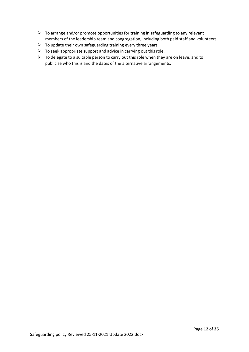- $\triangleright$  To arrange and/or promote opportunities for training in safeguarding to any relevant members of the leadership team and congregation, including both paid staff and volunteers.
- $\triangleright$  To update their own safeguarding training every three years.
- $\triangleright$  To seek appropriate support and advice in carrying out this role.
- $\triangleright$  To delegate to a suitable person to carry out this role when they are on leave, and to publicise who this is and the dates of the alternative arrangements.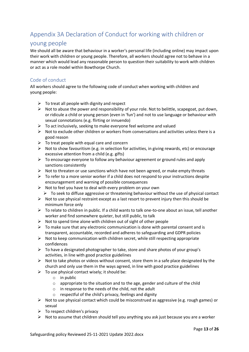# <span id="page-12-0"></span>Appendix 3A Declaration of Conduct for working with children or

### young people

We should all be aware that behaviour in a worker's personal life (including online) may impact upon their work with children or young people. Therefore, all workers should agree not to behave in a manner which would lead any reasonable person to question their suitability to work with children or act as a role model within Bowthorpe Church.

### Code of conduct

All workers should agree to the following code of conduct when working with children and young people:

- $\triangleright$  To treat all people with dignity and respect
- $\triangleright$  Not to abuse the power and responsibility of your role. Not to belittle, scapegoat, put down, or ridicule a child or young person (even in 'fun') and not to use language or behaviour with sexual connotations (e.g. flirting or innuendo)
- $\triangleright$  To act inclusively, seeking to make everyone feel welcome and valued
- $\triangleright$  Not to exclude other children or workers from conversations and activities unless there is a good reason
- $\triangleright$  To treat people with equal care and concern
- $\triangleright$  Not to show favouritism (e.g. in selection for activities, in giving rewards, etc) or encourage excessive attention from a child (e.g. gifts)
- $\triangleright$  To encourage everyone to follow any behaviour agreement or ground rules and apply sanctions consistently
- $\triangleright$  Not to threaten or use sanctions which have not been agreed, or make empty threats
- $\triangleright$  To refer to a more senior worker if a child does not respond to your instructions despite encouragement and warning of possible consequences
- $\triangleright$  Not to feel you have to deal with every problem on your own
	- $\triangleright$  To seek to diffuse aggressive or threatening behaviour without the use of physical contact
- $\triangleright$  Not to use physical restraint except as a last resort to prevent injury then this should be minimum force only
- ➢ To relate to children in public. If a child wants to talk one-to-one about an issue, tell another worker and find somewhere quieter, but still public, to talk
- $\triangleright$  Not to spend time alone with children out of sight of other people
- $\triangleright$  To make sure that any electronic communication is done with parental consent and is transparent, accountable, recorded and adheres to safeguarding and GDPR policies
- $\triangleright$  Not to keep communication with children secret, while still respecting appropriate confidences
- $\triangleright$  To have a designated photographer to take, store and share photos of your group's activities, in line with good practice guidelines
- $\triangleright$  Not to take photos or videos without consent, store them in a safe place designated by the church and only use them in the ways agreed, in line with good practice guidelines
- $\triangleright$  To use physical contact wisely; it should be:
	- o in public
	- o appropriate to the situation and to the age, gender and culture of the child
	- o in response to the needs of the child, not the adult
	- o respectful of the child's privacy, feelings and dignity
- $\triangleright$  Not to use physical contact which could be misconstrued as aggressive (e.g. rough games) or sexual
- $\triangleright$  To respect children's privacy
- $\triangleright$  Not to assume that children should tell you anything you ask just because you are a worker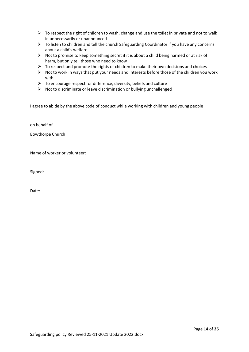- $\triangleright$  To respect the right of children to wash, change and use the toilet in private and not to walk in unnecessarily or unannounced
- ➢ To listen to children and tell the church Safeguarding Coordinator if you have any concerns about a child's welfare
- ➢ Not to promise to keep something secret if it is about a child being harmed or at risk of harm, but only tell those who need to know
- $\triangleright$  To respect and promote the rights of children to make their own decisions and choices
- $\triangleright$  Not to work in ways that put your needs and interests before those of the children you work with
- $\triangleright$  To encourage respect for difference, diversity, beliefs and culture
- ➢ Not to discriminate or leave discrimination or bullying unchallenged

I agree to abide by the above code of conduct while working with children and young people

on behalf of

Bowthorpe Church

Name of worker or volunteer:

Signed:

Date: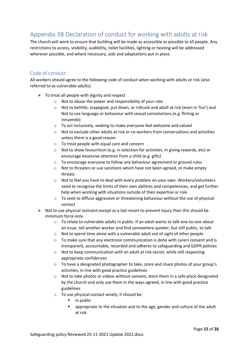# <span id="page-14-0"></span>Appendix 3B Declaration of conduct for working with adults at risk

The church will work to ensure that building will be made as accessible as possible to all people. Any restrictions to access, visibility, audibility, toilet facilities, lighting or heating will be addressed wherever possible, and where necessary, aids and adaptations put in place.

### Code of conduct

All workers should agree to the following code of conduct when working with adults or risk (also referred to as vulnerable adults):

- $\triangleright$  To treat all people with dignity and respect
	- o Not to abuse the power and responsibility of your role.
	- o Not to belittle, scapegoat, put down, or ridicule and adult at risk (even in 'fun') and Not to use language or behaviour with sexual connotations (e.g. flirting or innuendo)
	- o To act inclusively, seeking to make everyone feel welcome and valued
	- $\circ$  Not to exclude other adults at risk or co-workers from conversations and activities unless there is a good reason
	- o To treat people with equal care and concern
	- $\circ$  Not to show favouritism (e.g. in selection for activities, in giving rewards, etc) or encourage excessive attention from a child (e.g. gifts)
	- o To encourage everyone to follow any behaviour agreement or ground rules
	- o Not to threaten or use sanctions which have not been agreed, or make empty threats
	- $\circ$  Not to feel you have to deal with every problem on your own. Workers/volunteers need to recognise the limits of their own abilities and competencies, and get further help when working with situations outside of their expertise or role
	- $\circ$  To seek to diffuse aggressive or threatening behaviour without the use of physical contact
- $\triangleright$  Not to use physical restraint except as a last resort to prevent injury then this should be minimum force only
	- $\circ$  To relate to vulnerable adults in public. If an adult wants to talk one-to-one about an issue, tell another worker and find somewhere quieter, but still public, to talk
	- o Not to spend time alone with a vulnerable adult out of sight of other people
	- o To make sure that any electronic communication is done with carers consent and is transparent, accountable, recorded and adheres to safeguarding and GDPR policies
	- o Not to keep communication with an adult at risk secret, while still respecting appropriate confidences
	- $\circ$  To have a designated photographer to take, store and share photos of your group's activities, in line with good practice guidelines
	- $\circ$  Not to take photos or videos without consent, store them in a safe place designated by the church and only use them in the ways agreed, in line with good practice guidelines
	- o To use physical contact wisely; it should be:
		- $\blacksquare$  in public
		- appropriate to the situation and to the age, gender and culture of the adult at risk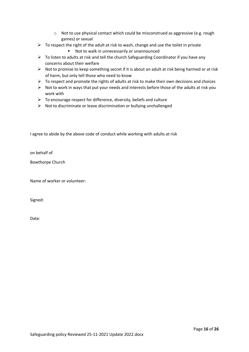- o Not to use physical contact which could be misconstrued as aggressive (e.g. rough games) or sexual
- $\triangleright$  To respect the right of the adult at risk to wash, change and use the toilet in private
	- Not to walk in unnecessarily or unannounced
- $\triangleright$  To listen to adults at risk and tell the church Safeguarding Coordinator if you have any concerns about their welfare
- ➢ Not to promise to keep something secret if it is about an adult at risk being harmed or at risk of harm, but only tell those who need to know
- ➢ To respect and promote the rights of adults at risk to make their own decisions and choices
- $\triangleright$  Not to work in ways that put your needs and interests before those of the adults at risk you work with
- $\triangleright$  To encourage respect for difference, diversity, beliefs and culture
- ➢ Not to discriminate or leave discrimination or bullying unchallenged

I agree to abide by the above code of conduct while working with adults at risk

on behalf of

Bowthorpe Church

Name of worker or volunteer:

Signed:

Date: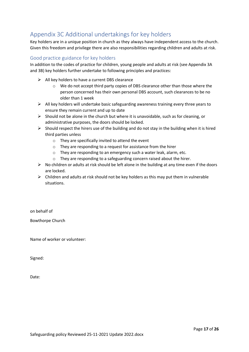# <span id="page-16-0"></span>Appendix 3C Additional undertakings for key holders

Key holders are in a unique position in church as they always have independent access to the church. Given this freedom and privilege there are also responsibilities regarding children and adults at risk.

### Good practice guidance for key holders

In addition to the codes of practice for children, young people and adults at risk (see Appendix 3A and 3B) key holders further undertake to following principles and practices:

- ➢ All key holders to have a current DBS clearance
	- o We do not accept third party copies of DBS clearance other than those where the person concerned has their own personal DBS account, such clearances to be no older than 1 week
- $\triangleright$  All key holders will undertake basic safeguarding awareness training every three years to ensure they remain current and up to date
- $\triangleright$  Should not be alone in the church but where it is unavoidable, such as for cleaning, or administrative purposes, the doors should be locked.
- $\triangleright$  Should respect the hirers use of the building and do not stay in the building when it is hired third parties unless
	- o They are specifically invited to attend the event
	- o They are responding to a request for assistance from the hirer
	- o They are responding to an emergency such a water leak, alarm, etc.
	- o They are responding to a safeguarding concern raised about the hirer.
- $\triangleright$  No children or adults at risk should be left alone in the building at any time even if the doors are locked.
- $\triangleright$  Children and adults at risk should not be key holders as this may put them in vulnerable situations.

on behalf of

Bowthorpe Church

Name of worker or volunteer:

Signed:

Date: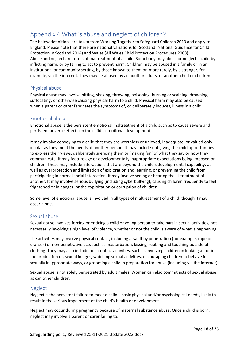# <span id="page-17-0"></span>Appendix 4 What is abuse and neglect of children?

The below definitions are taken from Working Together to Safeguard Children 2013 and apply to England. Please note that there are national variations for Scotland (National Guidance for Child Protection in Scotland 2014) and Wales (All Wales Child Protection Procedures 2008). Abuse and neglect are forms of maltreatment of a child. Somebody may abuse or neglect a child by inflicting harm, or by failing to act to prevent harm. Children may be abused in a family or in an institutional or community setting, by those known to them or, more rarely, by a stranger, for example, via the internet. They may be abused by an adult or adults, or another child or children.

### Physical abuse

Physical abuse may involve hitting, shaking, throwing, poisoning, burning or scalding, drowning, suffocating, or otherwise causing physical harm to a child. Physical harm may also be caused when a parent or carer fabricates the symptoms of, or deliberately induces, illness in a child.

### Emotional abuse

Emotional abuse is the persistent emotional maltreatment of a child such as to cause severe and persistent adverse effects on the child's emotional development.

It may involve conveying to a child that they are worthless or unloved, inadequate, or valued only insofar as they meet the needs of another person. It may include not giving the child opportunities to express their views, deliberately silencing them or 'making fun' of what they say or how they communicate. It may feature age or developmentally inappropriate expectations being imposed on children. These may include interactions that are beyond the child's developmental capability, as well as overprotection and limitation of exploration and learning, or preventing the child from participating in normal social interaction. It may involve seeing or hearing the ill-treatment of another. It may involve serious bullying (including cyberbullying), causing children frequently to feel frightened or in danger, or the exploitation or corruption of children.

Some level of emotional abuse is involved in all types of maltreatment of a child, though it may occur alone.

#### Sexual abuse

Sexual abuse involves forcing or enticing a child or young person to take part in sexual activities, not necessarily involving a high level of violence, whether or not the child is aware of what is happening.

The activities may involve physical contact, including assault by penetration (for example, rape or oral sex) or non-penetrative acts such as masturbation, kissing, rubbing and touching outside of clothing. They may also include non-contact activities, such as involving children in looking at, or in the production of, sexual images, watching sexual activities, encouraging children to behave in sexually inappropriate ways, or grooming a child in preparation for abuse (including via the internet).

Sexual abuse is not solely perpetrated by adult males. Women can also commit acts of sexual abuse, as can other children.

#### Neglect

Neglect is the persistent failure to meet a child's basic physical and/or psychological needs, likely to result in the serious impairment of the child's health or development.

Neglect may occur during pregnancy because of maternal substance abuse. Once a child is born, neglect may involve a parent or carer failing to: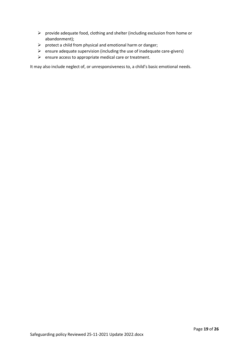- ➢ provide adequate food, clothing and shelter (including exclusion from home or abandonment);
- $\triangleright$  protect a child from physical and emotional harm or danger;
- $\triangleright$  ensure adequate supervision (including the use of inadequate care-givers)
- $\triangleright$  ensure access to appropriate medical care or treatment.

It may also include neglect of, or unresponsiveness to, a child's basic emotional needs.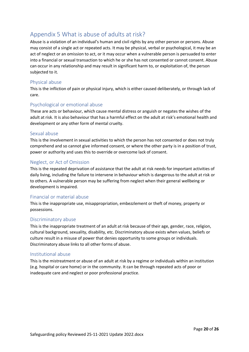# <span id="page-19-0"></span>Appendix 5 What is abuse of adults at risk?

Abuse is a violation of an individual's human and civil rights by any other person or persons. Abuse may consist of a single act or repeated acts. It may be physical, verbal or psychological, it may be an act of neglect or an omission to act, or it may occur when a vulnerable person is persuaded to enter into a financial or sexual transaction to which he or she has not consented or cannot consent. Abuse can occur in any relationship and may result in significant harm to, or exploitation of, the person subjected to it.

### Physical abuse

This is the infliction of pain or physical injury, which is either caused deliberately, or through lack of care.

### Psychological or emotional abuse

These are acts or behaviour, which cause mental distress or anguish or negates the wishes of the adult at risk. It is also behaviour that has a harmful effect on the adult at risk's emotional health and development or any other form of mental cruelty.

### Sexual abuse

This is the involvement in sexual activities to which the person has not consented or does not truly comprehend and so cannot give informed consent, or where the other party is in a position of trust, power or authority and uses this to override or overcome lack of consent.

### Neglect, or Act of Omission

This is the repeated deprivation of assistance that the adult at risk needs for important activities of daily living, including the failure to intervene in behaviour which is dangerous to the adult at risk or to others. A vulnerable person may be suffering from neglect when their general wellbeing or development is impaired.

### Financial or material abuse

This is the inappropriate use, misappropriation, embezzlement or theft of money, property or possessions.

### Discriminatory abuse

This is the inappropriate treatment of an adult at risk because of their age, gender, race, religion, cultural background, sexuality, disability, etc. Discriminatory abuse exists when values, beliefs or culture result in a misuse of power that denies opportunity to some groups or individuals. Discriminatory abuse links to all other forms of abuse.

#### Institutional abuse

This is the mistreatment or abuse of an adult at risk by a regime or individuals within an institution (e.g. hospital or care home) or in the community. It can be through repeated acts of poor or inadequate care and neglect or poor professional practice.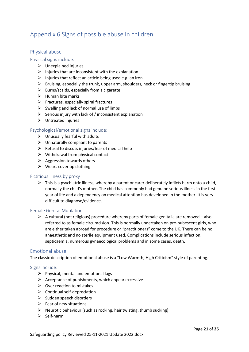# <span id="page-20-0"></span>Appendix 6 Signs of possible abuse in children

### Physical abuse

### Physical signs include:

- $\triangleright$  Unexplained injuries
- $\triangleright$  Injuries that are inconsistent with the explanation
- $\triangleright$  Injuries that reflect an article being used e.g. an iron
- ➢ Bruising, especially the trunk, upper arm, shoulders, neck or fingertip bruising
- $\triangleright$  Burns/scalds, especially from a cigarette
- $\triangleright$  Human bite marks
- $\triangleright$  Fractures, especially spiral fractures
- $\triangleright$  Swelling and lack of normal use of limbs
- $\triangleright$  Serious injury with lack of / inconsistent explanation
- $\triangleright$  Untreated injuries

### Psychological/emotional signs include:

- $\triangleright$  Unusually fearful with adults
- $\triangleright$  Unnaturally compliant to parents
- $\triangleright$  Refusal to discuss injuries/fear of medical help
- $\triangleright$  Withdrawal from physical contact
- $\triangleright$  Aggression towards others
- $\triangleright$  Wears cover up clothing

#### Fictitious illness by proxy

 $\triangleright$  This is a psychiatric illness, whereby a parent or carer deliberately inflicts harm onto a child, normally the child's mother. The child has commonly had genuine serious illness in the first year of life and a dependency on medical attention has developed in the mother. It is very difficult to diagnose/evidence.

#### Female Genital Mutilation

 $\triangleright$  A cultural (not religious) procedure whereby parts of female genitalia are removed – also referred to as female circumcision. This is normally undertaken on pre-pubescent girls, who are either taken abroad for procedure or "practitioners" come to the UK. There can be no anaesthetic and no sterile equipment used. Complications include serious infection, septicaemia, numerous gynaecological problems and in some cases, death.

#### Emotional abuse

The classic description of emotional abuse is a "Low Warmth, High Criticism" style of parenting.

#### Signs include:

- $\triangleright$  Physical, mental and emotional lags
- $\triangleright$  Acceptance of punishments, which appear excessive
- ➢ Over reaction to mistakes
- $\triangleright$  Continual self-depreciation
- $\triangleright$  Sudden speech disorders
- $\triangleright$  Fear of new situations
- $\triangleright$  Neurotic behaviour (such as rocking, hair twisting, thumb sucking)
- ➢ Self-harm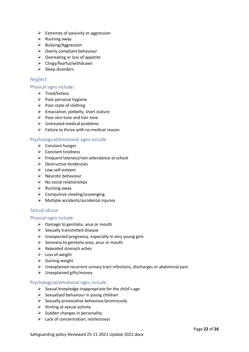- $\triangleright$  Extremes of passivity or aggression
- ➢ Running away
- ➢ Bullying/Aggression
- $\triangleright$  Overly compliant behaviour
- $\triangleright$  Overeating or loss of appetite
- ➢ Clingy/fearful/withdrawn
- $\triangleright$  Sleep disorders

### Neglect

### Physical signs include:

- ➢ Tired/listless
- $\triangleright$  Poor personal hygiene
- ➢ Poor state of clothing
- $\triangleright$  Emaciation, potbelly, short stature
- $\triangleright$  Poor skin tone and hair tone
- $\triangleright$  Untreated medical problems
- $\triangleright$  Failure to thrive with no medical reason

### Psychological/emotional signs include:

- ➢ Constant hunger
- ➢ Constant tiredness
- ➢ Frequent lateness/non-attendance at school
- ➢ Destructive tendencies
- ➢ Low self-esteem
- ➢ Neurotic behaviour
- $\triangleright$  No social relationships
- $\triangleright$  Running away
- $\triangleright$  Compulsive stealing/scavenging
- $\triangleright$  Multiple accidents/accidental injuries

#### Sexual abuse

#### Physical signs include:

- $\triangleright$  Damage to genitalia, anus or mouth
- $\triangleright$  Sexually transmitted disease
- $\triangleright$  Unexpected pregnancy, especially in very young girls
- $\triangleright$  Soreness to genitalia area, anus or mouth
- $\triangleright$  Repeated stomach aches
- $\triangleright$  Loss of weight
- ➢ Gaining weight
- ➢ Unexplained recurrent urinary tract infections, discharges or abdominal pain
- ➢ Unexplained gifts/money

### Psychological/emotional signs include:

- $\triangleright$  Sexual knowledge inappropriate for the child's age
- $\triangleright$  Sexualised behaviour in young children
- $\triangleright$  Sexually provocative behaviour/promiscuity
- $\triangleright$  Hinting at sexual activity
- $\triangleright$  Sudden changes in personality
- ➢ Lack of concentration, restlessness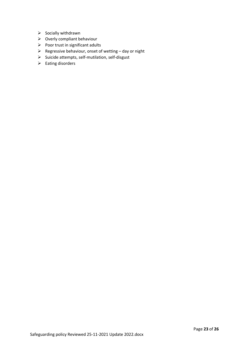- ➢ Socially withdrawn
- ➢ Overly compliant behaviour
- ➢ Poor trust in significant adults
- $\triangleright$  Regressive behaviour, onset of wetting day or night
- ➢ Suicide attempts, self-mutilation, self-disgust
- ➢ Eating disorders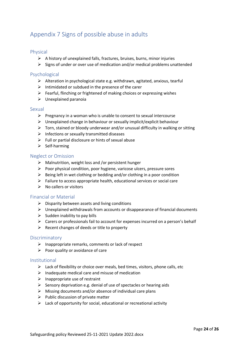# <span id="page-23-0"></span>Appendix 7 Signs of possible abuse in adults

### Physical

- $\triangleright$  A history of unexplained falls, fractures, bruises, burns, minor injuries
- ➢ Signs of under or over use of medication and/or medical problems unattended

### Psychological

- ➢ Alteration in psychological state e.g. withdrawn, agitated, anxious, tearful
- $\triangleright$  Intimidated or subdued in the presence of the carer
- $\triangleright$  Fearful, flinching or frightened of making choices or expressing wishes
- $\triangleright$  Unexplained paranoia

#### Sexual

- $\triangleright$  Pregnancy in a woman who is unable to consent to sexual intercourse
- $\triangleright$  Unexplained change in behaviour or sexually implicit/explicit behaviour
- $\triangleright$  Torn, stained or bloody underwear and/or unusual difficulty in walking or sitting
- $\triangleright$  Infections or sexually transmitted diseases
- $\triangleright$  Full or partial disclosure or hints of sexual abuse
- $\triangleright$  Self-harming

### Neglect or Omission

- $\triangleright$  Malnutrition, weight loss and /or persistent hunger
- ➢ Poor physical condition, poor hygiene, varicose ulcers, pressure sores
- $\triangleright$  Being left in wet clothing or bedding and/or clothing in a poor condition
- ➢ Failure to access appropriate health, educational services or social care
- $\triangleright$  No callers or visitors

### Financial or Material

- $\triangleright$  Disparity between assets and living conditions
- $\triangleright$  Unexplained withdrawals from accounts or disappearance of financial documents
- $\triangleright$  Sudden inability to pay bills
- $\triangleright$  Carers or professionals fail to account for expenses incurred on a person's behalf
- $\triangleright$  Recent changes of deeds or title to property

### **Discriminatory**

- ➢ Inappropriate remarks, comments or lack of respect
- $\triangleright$  Poor quality or avoidance of care

### Institutional

- $\triangleright$  Lack of flexibility or choice over meals, bed times, visitors, phone calls, etc
- $\triangleright$  Inadequate medical care and misuse of medication
- $\triangleright$  Inappropriate use of restraint
- $\triangleright$  Sensory deprivation e.g. denial of use of spectacles or hearing aids
- $\triangleright$  Missing documents and/or absence of individual care plans
- $\triangleright$  Public discussion of private matter
- $\triangleright$  Lack of opportunity for social, educational or recreational activity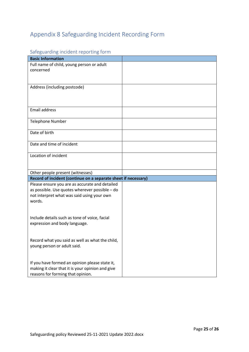# <span id="page-24-0"></span>Appendix 8 Safeguarding Incident Recording Form

# Safeguarding incident reporting form

| <b>Basic Information</b>                                       |  |
|----------------------------------------------------------------|--|
| Full name of child, young person or adult                      |  |
| concerned                                                      |  |
|                                                                |  |
|                                                                |  |
| Address (including postcode)                                   |  |
|                                                                |  |
|                                                                |  |
|                                                                |  |
| <b>Email address</b>                                           |  |
|                                                                |  |
| <b>Telephone Number</b>                                        |  |
|                                                                |  |
| Date of birth                                                  |  |
|                                                                |  |
| Date and time of incident                                      |  |
|                                                                |  |
| Location of incident                                           |  |
|                                                                |  |
|                                                                |  |
| Other people present (witnesses)                               |  |
| Record of incident (continue on a separate sheet if necessary) |  |
| Please ensure you are as accurate and detailed                 |  |
| as possible. Use quotes wherever possible - do                 |  |
| not interpret what was said using your own                     |  |
| words.                                                         |  |
|                                                                |  |
|                                                                |  |
| Include details such as tone of voice, facial                  |  |
| expression and body language.                                  |  |
|                                                                |  |
|                                                                |  |
| Record what you said as well as what the child,                |  |
| young person or adult said.                                    |  |
|                                                                |  |
|                                                                |  |
| If you have formed an opinion please state it,                 |  |
| making it clear that it is your opinion and give               |  |
| reasons for forming that opinion.                              |  |